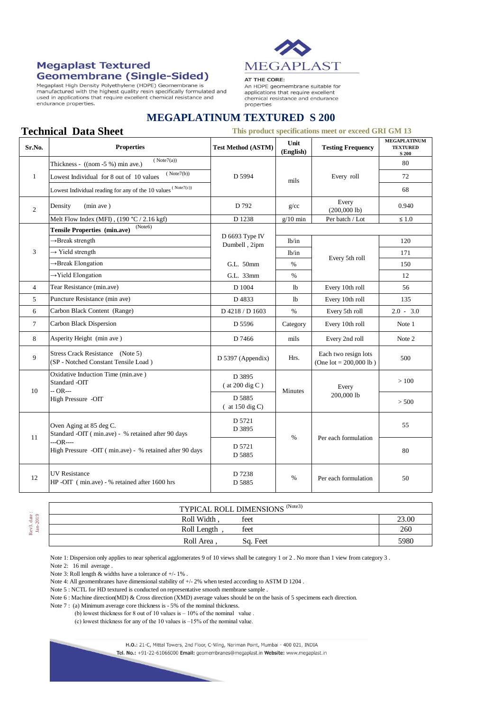## **Megaplast Textured Geomembrane (Single-Sided)**

**Technical Data Sheet** 

Megaplast High Density Polyethylene (HDPE) Geomembrane is Megaplast rigin Derisity Polyeting term of the procedure is<br>manufactured with the highest quality resin specifically formulated and<br>used in applications that require excellent chemical resistance and endurance properties.



## AT THE CORE:

An HDPE geomembrane suitable for applications that require excellent chemical resistance and endurance properties

## **MEGAPLATINUM TEXTURED S 200**

## **This product specifications meet or exceed GRI GM 13**

| Sr.No.         | <b>Properties</b>                                                                                                                                      | <b>Test Method (ASTM)</b>   | Unit<br>(English) | <b>Testing Frequency</b>                          | <b>MEGAPLATINUM</b><br><b>TEXTURED</b><br>S 200 |
|----------------|--------------------------------------------------------------------------------------------------------------------------------------------------------|-----------------------------|-------------------|---------------------------------------------------|-------------------------------------------------|
| $\mathbf{1}$   | (Note7(a))<br>Thickness - ((nom -5 %) min ave.)                                                                                                        | D 5994                      | mils              | Every roll                                        | 80                                              |
|                | (Note7(b))<br>Lowest Individual for 8 out of 10 values                                                                                                 |                             |                   |                                                   | 72                                              |
|                | Lowest Individual reading for any of the 10 values $^{(\rm Note7(c))}$                                                                                 |                             |                   |                                                   | 68                                              |
| $\overline{2}$ | Density<br>(min ave)                                                                                                                                   | D 792                       | g/cc              | Every<br>$(200,000$ lb)                           | 0.940                                           |
|                | Melt Flow Index (MFI), $(190 °C / 2.16 kgf)$                                                                                                           | D 1238                      | $g/10$ min        | Per batch / Lot                                   | $\leq 1.0$                                      |
| 3              | (Note6)<br><b>Tensile Properties (min.ave)</b>                                                                                                         | D 6693 Type IV              |                   |                                                   |                                                 |
|                | →Break strength                                                                                                                                        | Dumbell, 2ipm               | lb/in             | Every 5th roll                                    | 120                                             |
|                | $\rightarrow$ Yield strength                                                                                                                           |                             | $1b$ /in          |                                                   | 171                                             |
|                | → Break Elongation                                                                                                                                     | G.L. 50mm                   | %                 |                                                   | 150                                             |
|                | $\rightarrow$ Yield Elongation                                                                                                                         | G.L. 33mm                   | $\%$              |                                                   | 12                                              |
| $\overline{4}$ | Tear Resistance (min.ave)                                                                                                                              | D 1004                      | l <sub>b</sub>    | Every 10th roll                                   | 56                                              |
| 5              | Puncture Resistance (min ave)                                                                                                                          | D4833                       | lb                | Every 10th roll                                   | 135                                             |
| 6              | Carbon Black Content (Range)                                                                                                                           | D 4218 / D 1603             | $\%$              | Every 5th roll                                    | $2.0 - 3.0$                                     |
| $\tau$         | Carbon Black Dispersion                                                                                                                                | D 5596                      | Category          | Every 10th roll                                   | Note 1                                          |
| 8              | Asperity Height (min ave)                                                                                                                              | D 7466                      | mils              | Every 2nd roll                                    | Note 2                                          |
| 9              | Stress Crack Resistance (Note 5)<br>(SP - Notched Constant Tensile Load)                                                                               | D 5397 (Appendix)           | Hrs.              | Each two resign lots<br>(One $lot = 200,000 lb$ ) | 500                                             |
| 10             | Oxidative Induction Time (min.ave)<br>Standard -OIT<br>$-OR -$<br>High Pressure -OIT                                                                   | D 3895<br>$($ at 200 dig C) | <b>Minutes</b>    | Every<br>200,000 lb                               | >100                                            |
|                |                                                                                                                                                        | D 5885<br>$($ at 150 dig C) |                   |                                                   | > 500                                           |
| 11             | Oven Aging at 85 deg C.<br>Standard -OIT (min.ave) - % retained after 90 days<br>$-OR$ ----<br>High Pressure -OIT (min.ave) - % retained after 90 days | D 5721<br>D 3895            | $\%$              | Per each formulation                              | 55                                              |
|                |                                                                                                                                                        | D 5721<br>D 5885            |                   |                                                   | 80                                              |
| 12             | <b>UV</b> Resistance<br>HP-OIT (min.ave) - % retained after 1600 hrs                                                                                   | D 7238<br>D 5885            | $\frac{0}{0}$     | Per each formulation                              | 50                                              |

Rev3. date : Rev3. date:<br>Jan-2019

| <b>TYPICAL ROLL DIMENSIONS (Note3)</b> |       |  |  |  |  |
|----------------------------------------|-------|--|--|--|--|
| Roll Width.<br>feet                    | 23.00 |  |  |  |  |
| feet<br>Roll Length                    | 260   |  |  |  |  |
| Roll Area.<br>Sq. Feet                 | 5980  |  |  |  |  |

Note 1: Dispersion only applies to near spherical agglomerates 9 of 10 views shall be category 1 or 2. No more than 1 view from category 3.

Note 2: 16 mil average

Note 3: Roll length & widths have a tolerance of +/- 1% .

Note 4: All geomembranes have dimensional stability of  $+/-2\%$  when tested according to ASTM D 1204.

Note 5 : NCTL for HD textured is conducted on representative smooth membrane sample .

Note 6 : Machine direction(MD) & Cross direction (XMD) average values should be on the basis of 5 specimens each direction.

Note 7 : (a) Minimum average core thickness is - 5% of the nominal thickness.

(b) lowest thickness for 8 out of 10 values is  $-10\%$  of the nominal value.

(c) lowest thickness for any of the 10 values is –15% of the nominal value.

H.O.: 21-C, Mittal Towers, 2nd Floor, C-Wing, Nariman Point, Mumbai - 400 021, INDIA

Tel. No.: +91-22-61066000 Email: geomembranes@megaplast.in Website: www.megaplast.in